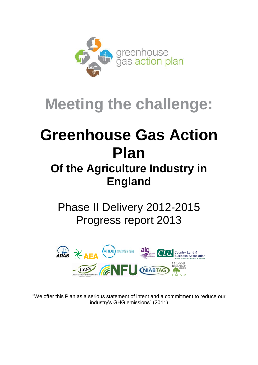

# **Meeting the challenge:**

# **Greenhouse Gas Action Plan**

# **Of the Agriculture Industry in England**

## Phase II Delivery 2012-2015 Progress report 2013



"We offer this Plan as a serious statement of intent and a commitment to reduce our industry's GHG emissions" (2011)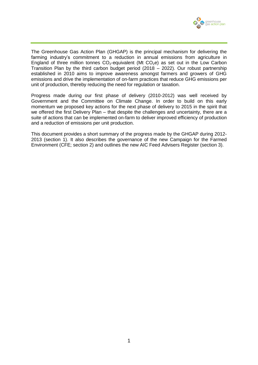

The Greenhouse Gas Action Plan (GHGAP) is the principal mechanism for delivering the farming industry's commitment to a reduction in annual emissions from agriculture in England of three million tonnes  $CO<sub>2</sub>$ -equivalent (Mt  $CO<sub>2</sub>e$ ) as set out in the Low Carbon Transition Plan by the third carbon budget period (2018 – 2022). Our robust partnership established in 2010 aims to improve awareness amongst farmers and growers of GHG emissions and drive the implementation of on-farm practices that reduce GHG emissions per unit of production, thereby reducing the need for regulation or taxation.

Progress made during our first phase of delivery (2010-2012) was well received by Government and the Committee on Climate Change. In order to build on this early momentum we proposed key actions for the next phase of delivery to 2015 in the spirit that we offered the first Delivery Plan – that despite the challenges and uncertainty, there are a suite of actions that can be implemented on-farm to deliver improved efficiency of production and a reduction of emissions per unit production.

This document provides a short summary of the progress made by the GHGAP during 2012- 2013 (section 1). It also describes the governance of the new Campaign for the Farmed Environment (CFE; section 2) and outlines the new AIC Feed Advisers Register (section 3).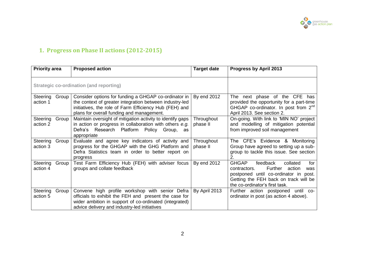

## **1. Progress on Phase II actions (2012-2015)**

| <b>Priority area</b>                    |       | <b>Proposed action</b>                                                                                                                                                                                                 | <b>Target date</b>     | Progress by April 2013                                                                                                                                                                                      |  |
|-----------------------------------------|-------|------------------------------------------------------------------------------------------------------------------------------------------------------------------------------------------------------------------------|------------------------|-------------------------------------------------------------------------------------------------------------------------------------------------------------------------------------------------------------|--|
| Strategic co-ordination (and reporting) |       |                                                                                                                                                                                                                        |                        |                                                                                                                                                                                                             |  |
| Steering<br>action 1                    | Group | Consider options for funding a GHGAP co-ordinator in<br>the context of greater integration between industry-led<br>initiatives, the role of Farm Efficiency Hub (FEH) and<br>plans for overall funding and management. | By end 2012            | The next phase of the CFE has<br>provided the opportunity for a part-time<br>GHGAP co-ordinator. In post from $2^{nd}$<br>April 2013. See section 2.                                                        |  |
| Steering<br>action 2                    | Group | Maintain oversight of mitigation activity to identify gaps<br>in action or progress in collaboration with others e.g.<br>Defra's Research Platform Policy Group, as<br>appropriate                                     | Throughout<br>phase II | On-going. With link to 'MIN NO' project<br>and modelling of mitigation potential<br>from improved soil management                                                                                           |  |
| Steering<br>action 3                    | Group | Evaluate and agree key indicators of activity and<br>progress for the GHGAP with the GHG Platform and<br>Defra Statistics team in order to better report on<br>progress                                                | Throughout<br>phase II | The CFE's Evidence & Monitoring<br>Group have agreed to setting up a sub-<br>group to tackle this issue. See section<br>2.                                                                                  |  |
| Steering<br>action 4                    | Group | Test Farm Efficiency Hub (FEH) with adviser focus<br>groups and collate feedback                                                                                                                                       | By end 2012            | <b>GHGAP</b><br>feedback<br>collated<br>for<br>Further<br>action<br>contractors.<br>was<br>postponed until co-ordinator in post.<br>Getting the FEH back on track will be<br>the co-ordinator's first task. |  |
| Steering<br>action 5                    | Group | Convene high profile workshop with senior Defra<br>officials to exhibit the FEH and present the case for<br>wider ambition in support of co-ordinated (integrated)<br>advice delivery and industry-led initiatives     | By April 2013          | Further action postponed until co-<br>ordinator in post (as action 4 above).                                                                                                                                |  |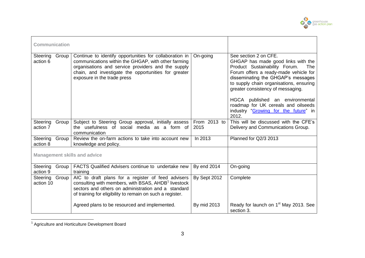

| <b>Communication</b>                |                                                                                                                                                                                                                                                             |                      |                                                                                                                                                                                                                                                                                                                                                                                               |
|-------------------------------------|-------------------------------------------------------------------------------------------------------------------------------------------------------------------------------------------------------------------------------------------------------------|----------------------|-----------------------------------------------------------------------------------------------------------------------------------------------------------------------------------------------------------------------------------------------------------------------------------------------------------------------------------------------------------------------------------------------|
| Group<br>Steering<br>action 6       | Continue to identify opportunities for collaboration in<br>communications within the GHGAP, with other farming<br>organisations and service providers and the supply<br>chain, and investigate the opportunities for greater<br>exposure in the trade press | On-going             | See section 2 on CFE.<br>GHGAP has made good links with the<br>Product Sustainability Forum.<br>The<br>Forum offers a ready-made vehicle for<br>disseminating the GHGAP's messages<br>to supply chain organisations, ensuring<br>greater consistency of messaging.<br>HGCA published an environmental<br>roadmap for UK cereals and oilseeds<br>industry "Growing for the future" in<br>2012. |
| Steering<br>Group<br>action 7       | Subject to Steering Group approval, initially assess<br>the usefulness of social media as a form of<br>communication                                                                                                                                        | From 2013 to<br>2015 | This will be discussed with the CFE's<br>Delivery and Communications Group.                                                                                                                                                                                                                                                                                                                   |
| Group<br>Steering<br>action 8       | Review the on-farm actions to take into account new<br>knowledge and policy.                                                                                                                                                                                | In 2013              | Planned for Q2/3 2013                                                                                                                                                                                                                                                                                                                                                                         |
| <b>Management skills and advice</b> |                                                                                                                                                                                                                                                             |                      |                                                                                                                                                                                                                                                                                                                                                                                               |
| Steering<br>Group<br>action 9       | FACTS Qualified Advisers continue to undertake new<br>training                                                                                                                                                                                              | By end 2014          | On-going                                                                                                                                                                                                                                                                                                                                                                                      |
| Steering Group<br>action 10         | AIC to draft plans for a register of feed advisers<br>consulting with members, with BSAS, AHDB <sup>1</sup> livestock<br>sectors and others on administration and a standard<br>of training for eligibility to remain on such a register.                   | By Sept 2012         | Complete                                                                                                                                                                                                                                                                                                                                                                                      |
|                                     | Agreed plans to be resourced and implemented.                                                                                                                                                                                                               | By mid 2013          | Ready for launch on 1 <sup>st</sup> May 2013. See<br>section 3.                                                                                                                                                                                                                                                                                                                               |

 1 Agriculture and Horticulture Development Board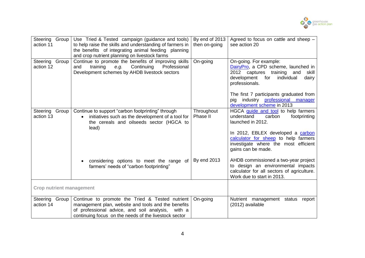

| Steering Group<br>action 11     | Use Tried & Tested campaign (guidance and tools)<br>to help raise the skills and understanding of farmers in<br>the benefits of integrating animal feeding planning<br>and crop nutrient planning on livestock farms    | By end of 2013<br>then on-going | Agreed to focus on cattle and sheep $-$<br>see action 20                                                                                                                                                                                                  |
|---------------------------------|-------------------------------------------------------------------------------------------------------------------------------------------------------------------------------------------------------------------------|---------------------------------|-----------------------------------------------------------------------------------------------------------------------------------------------------------------------------------------------------------------------------------------------------------|
| Steering Group<br>action 12     | Continue to promote the benefits of improving skills<br>Continuing<br>Professional<br>training<br>e.g.<br>and<br>Development schemes by AHDB livestock sectors                                                          | On-going                        | On-going. For example:<br>DairyPro, a CPD scheme, launched in<br>2012 captures training<br>skill<br>and<br>development<br>for individual<br>dairy<br>professionals.<br>The first 7 participants graduated from<br>industry professional<br>manager<br>pig |
| Steering<br>Group<br>action 13  | Continue to support "carbon footprinting" through<br>initiatives such as the development of a tool for<br>$\bullet$<br>the cereals and oilseeds sector (HGCA to<br>lead)                                                | Throughout<br>Phase II          | development scheme in 2013<br>HGCA guide and tool to help farmers<br>understand<br>carbon<br>footprinting<br>launched in 2012.<br>In 2012, EBLEX developed a carbon<br>calculator for sheep to help farmers                                               |
|                                 | considering options to meet the range of<br>$\bullet$<br>farmers' needs of "carbon footprinting"                                                                                                                        | By end 2013                     | investigate where the most efficient<br>gains can be made.<br>AHDB commissioned a two-year project<br>to design an environmental impacts<br>calculator for all sectors of agriculture.<br>Work due to start in 2013.                                      |
| <b>Crop nutrient management</b> |                                                                                                                                                                                                                         |                                 |                                                                                                                                                                                                                                                           |
| Steering Group<br>action 14     | Continue to promote the Tried & Tested nutrient<br>management plan, website and tools and the benefits<br>of professional advice, and soil analysis,<br>with a<br>continuing focus on the needs of the livestock sector | On-going                        | Nutrient management status<br>report<br>(2012) available                                                                                                                                                                                                  |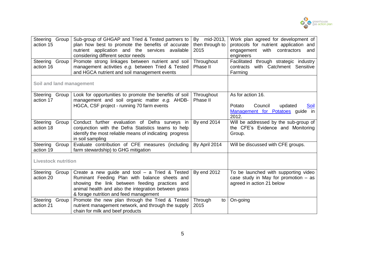

| Steering Group<br>action 15<br>Steering Group<br>action 16 | Sub-group of GHGAP and Tried & Tested partners to<br>plan how best to promote the benefits of accurate<br>nutrient application and the services available<br>considering different sector needs<br>Promote strong linkages between nutrient and soil<br>management activities e.g. between Tried & Tested<br>and HGCA nutrient and soil management events | By mid-2013,<br>then through to<br>2015<br>Throughout<br>Phase II | Work plan agreed for development of<br>protocols for nutrient application and<br>with contractors<br>engagement<br>and<br>engineers<br>Facilitated through strategic industry<br>contracts with Catchment Sensitive<br>Farming |  |
|------------------------------------------------------------|-----------------------------------------------------------------------------------------------------------------------------------------------------------------------------------------------------------------------------------------------------------------------------------------------------------------------------------------------------------|-------------------------------------------------------------------|--------------------------------------------------------------------------------------------------------------------------------------------------------------------------------------------------------------------------------|--|
| Soil and land management                                   |                                                                                                                                                                                                                                                                                                                                                           |                                                                   |                                                                                                                                                                                                                                |  |
| Steering<br>Group<br>action 17                             | Look for opportunities to promote the benefits of soil<br>management and soil organic matter e.g. AHDB-<br>HGCA, CSF project - running 70 farm events                                                                                                                                                                                                     | Throughout<br>Phase II                                            | As for action 16.<br>Council<br>updated<br>Potato<br><u>Soil</u><br>Management for Potatoes guide in<br>2012.                                                                                                                  |  |
| Steering<br>Group<br>action 18                             | Conduct further evaluation of Defra surveys in<br>conjunction with the Defra Statistics teams to help<br>identify the most reliable means of indicating progress<br>in soil sampling                                                                                                                                                                      | By end 2014                                                       | Will be addressed by the sub-group of<br>the CFE's Evidence and Monitoring<br>Group.                                                                                                                                           |  |
| Steering<br>Group<br>action 19                             | Evaluate contribution of CFE measures (including<br>farm stewardship) to GHG mitigation                                                                                                                                                                                                                                                                   | By April 2014                                                     | Will be discussed with CFE groups.                                                                                                                                                                                             |  |
| <b>Livestock nutrition</b>                                 |                                                                                                                                                                                                                                                                                                                                                           |                                                                   |                                                                                                                                                                                                                                |  |
| Steering<br>Group<br>action 20                             | Create a new guide and tool $-$ a Tried & Tested<br>Ruminant Feeding Plan with balance sheets and<br>showing the link between feeding practices and<br>animal health and also the integration between grass<br>& forage nutrition and feed management                                                                                                     | By end 2012                                                       | To be launched with supporting video<br>case study in May for promotion $-$ as<br>agreed in action 21 below                                                                                                                    |  |
| Steering<br>Group<br>action 21                             | Promote the new plan through the Tried & Tested<br>nutrient management network, and through the supply<br>chain for milk and beef products                                                                                                                                                                                                                | Through<br>to<br>2015                                             | On-going                                                                                                                                                                                                                       |  |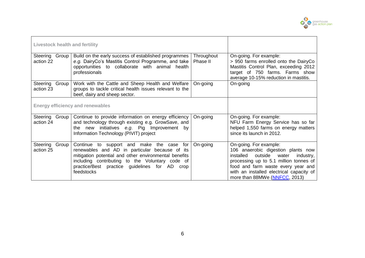

| <b>Livestock health and fertility</b>   |                                                                                                                                                                                                                                                                              |                        |                                                                                                                                                                                                                                                                         |
|-----------------------------------------|------------------------------------------------------------------------------------------------------------------------------------------------------------------------------------------------------------------------------------------------------------------------------|------------------------|-------------------------------------------------------------------------------------------------------------------------------------------------------------------------------------------------------------------------------------------------------------------------|
| Steering Group<br>action 22             | Build on the early success of established programmes<br>e.g. Dairy Co's Mastitis Control Programme, and take<br>opportunities to collaborate with animal health<br>professionals                                                                                             | Throughout<br>Phase II | On-going. For example:<br>> 950 farms enrolled onto the DairyCo<br>Mastitis Control Plan, exceeding 2012<br>target of 750 farms. Farms show<br>average 10-15% reduction in mastitis.                                                                                    |
| Steering Group<br>action 23             | Work with the Cattle and Sheep Health and Welfare<br>groups to tackle critical health issues relevant to the<br>beef, dairy and sheep sector.                                                                                                                                | On-going               | On-going                                                                                                                                                                                                                                                                |
| <b>Energy efficiency and renewables</b> |                                                                                                                                                                                                                                                                              |                        |                                                                                                                                                                                                                                                                         |
| Steering Group<br>action 24             | Continue to provide information on energy efficiency<br>and technology through existing e.g. GrowSave, and<br>the new initiatives e.g. Pig Improvement by<br>Information Technology (PIVIT) project                                                                          | On-going               | On-going. For example:<br>NFU Farm Energy Service has so far<br>helped 1,550 farms on energy matters<br>since its launch in 2012.                                                                                                                                       |
| Group<br>Steering<br>action 25          | Continue to support and make the case<br>for<br>renewables and AD in particular because of its<br>mitigation potential and other environmental benefits<br>including contributing to the Voluntary code of<br>practice/Best practice guidelines for AD<br>crop<br>feedstocks | On-going               | On-going. For example:<br>106 anaerobic digestion plants now<br>installed<br>outside<br>water<br>industry,<br>processing up to 5.1 million tonnes of<br>food and farm waste every year and<br>with an installed electrical capacity of<br>more than 88MWe (NNFCC, 2013) |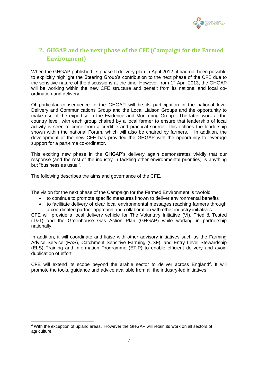

### **2. GHGAP and the next phase of the CFE (Campaign for the Farmed Environment)**

When the GHGAP published its phase II delivery plan in April 2012, it had not been possible to explicitly highlight the Steering Group's contribution to the next phase of the CFE due to the sensitive nature of the discussions at the time. However from  $1<sup>st</sup>$  April 2013, the GHGAP will be working within the new CFE structure and benefit from its national and local coordination and delivery.

Of particular consequence to the GHGAP will be its participation in the national level Delivery and Communications Group and the Local Liaison Groups and the opportunity to make use of the expertise in the Evidence and Monitoring Group. The latter work at the country level, with each group chaired by a local farmer to ensure that leadership of local activity is seen to come from a credible and practical source. This echoes the leadership shown within the national Forum, which will also be chaired by farmers. In addition, the development of the new CFE has provided the GHGAP with the opportunity to leverage support for a part-time co-ordinator.

This exciting new phase in the GHGAP's delivery again demonstrates vividly that our response (and the rest of the industry in tackling other environmental priorities) is anything but "business as usual".

The following describes the aims and governance of the CFE.

The vision for the next phase of the Campaign for the Farmed Environment is twofold

- to continue to promote specific measures known to deliver environmental benefits
- to facilitate delivery of clear local environmental messages reaching farmers through a coordinated partner approach and collaboration with other industry initiatives.

CFE will provide a local delivery vehicle for The Voluntary Initiative (VI), Tried & Tested (T&T) and the Greenhouse Gas Action Plan (GHGAP) while working in partnership nationally.

In addition, it will coordinate and liaise with other advisory initiatives such as the Farming Advice Service (FAS), Catchment Sensitive Farming (CSF), and Entry Level Stewardship (ELS) Training and Information Programme (ETIP) to enable efficient delivery and avoid duplication of effort.

CFE will extend its scope beyond the arable sector to deliver across England<sup>2</sup>. It will promote the tools, guidance and advice available from all the industry-led initiatives.

1

 $2$  With the exception of upland areas. However the GHGAP will retain its work on all sectors of agriculture.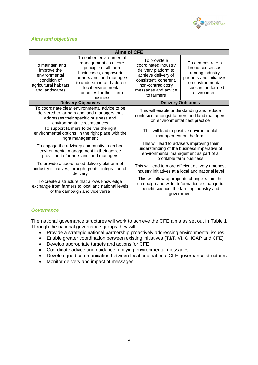

#### *Aims and objectives*

| <b>Aims of CFE</b>                                                                                         |                                                                                                                                                                                                                             |                                                                                                                                                                        |                                                                                                                                              |  |  |  |
|------------------------------------------------------------------------------------------------------------|-----------------------------------------------------------------------------------------------------------------------------------------------------------------------------------------------------------------------------|------------------------------------------------------------------------------------------------------------------------------------------------------------------------|----------------------------------------------------------------------------------------------------------------------------------------------|--|--|--|
| To maintain and<br>improve the<br>environmental<br>condition of<br>agricultural habitats<br>and landscapes | To embed environmental<br>management as a core<br>principle of all farm<br>businesses, empowering<br>farmers and land managers<br>to understand and address<br>local environmental<br>priorities for their farm<br>business | To provide a<br>coordinated industry<br>delivery platform to<br>achieve delivery of<br>consistent, coherent,<br>non-contradictory<br>messages and advice<br>to farmers | To demonstrate a<br>broad consensus<br>among industry<br>partners and initiatives<br>on environmental<br>issues in the farmed<br>environment |  |  |  |
|                                                                                                            | <b>Delivery Objectives</b>                                                                                                                                                                                                  | <b>Delivery Outcomes</b>                                                                                                                                               |                                                                                                                                              |  |  |  |
|                                                                                                            | To coordinate clear environmental advice to be<br>delivered to farmers and land managers that<br>addresses their specific business and<br>environmental circumstances                                                       | This will enable understanding and reduce<br>confusion amongst farmers and land managers<br>on environmental best practice                                             |                                                                                                                                              |  |  |  |
|                                                                                                            | To support farmers to deliver the right<br>environmental options, in the right place with the<br>right management                                                                                                           | This will lead to positive environmental<br>management on the farm                                                                                                     |                                                                                                                                              |  |  |  |
|                                                                                                            | To engage the advisory community to embed<br>environmental management in their advice<br>provision to farmers and land managers                                                                                             | This will lead to advisers improving their<br>understanding of the business imperative of<br>environmental management as part of a<br>profitable farm business         |                                                                                                                                              |  |  |  |
|                                                                                                            | To provide a coordinated delivery platform of<br>industry initiatives, through greater integration of<br>delivery                                                                                                           | This will lead to more efficient delivery amongst<br>industry initiatives at a local and national level                                                                |                                                                                                                                              |  |  |  |
|                                                                                                            | To create a structure that allows knowledge<br>exchange from farmers to local and national levels<br>of the campaign and vice versa                                                                                         | This will allow appropriate change within the<br>campaign and wider information exchange to<br>benefit science, the farming industry and<br>government                 |                                                                                                                                              |  |  |  |

#### *Governance*

The national governance structures will work to achieve the CFE aims as set out in Table 1 Through the national governance groups they will:

- Provide a strategic national partnership proactively addressing environmental issues.
- Enable greater coordination between existing initiatives (T&T, VI, GHGAP and CFE)
- Develop appropriate targets and actions for CFE
- Coordinate advice and guidance, unifying environmental messages
- Develop good communication between local and national CFE governance structures
- Monitor delivery and impact of messages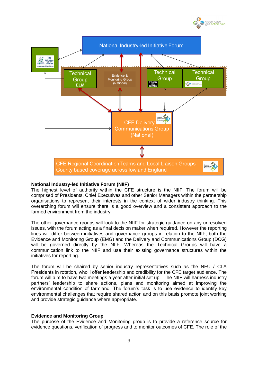



#### **National Industry-led Initiative Forum (NIIF)**

The highest level of authority within the CFE structure is the NIIF. The forum will be comprised of Presidents, Chief Executives and other Senior Managers within the partnership organisations to represent their interests in the context of wider industry thinking. This overarching forum will ensure there is a good overview and a consistent approach to the farmed environment from the industry.

The other governance groups will look to the NIIF for strategic guidance on any unresolved issues, with the forum acting as a final decision maker when required. However the reporting lines will differ between initiatives and governance groups in relation to the NIIF; both the Evidence and Monitoring Group (EMG) and the Delivery and Communications Group (DCG) will be governed directly by the NIIF. Whereas the Technical Groups will have a communication link to the NIIF and use their existing governance structures within the initiatives for reporting.

The forum will be chaired by senior industry representatives such as the NFU / CLA Presidents in rotation, who'll offer leadership and credibility for the CFE target audience. The forum will aim to have two meetings a year after initial set up. The NIIF will harness industry partners' leadership to share actions, plans and monitoring aimed at improving the environmental condition of farmland. The forum's task is to use evidence to identify key environmental challenges that require shared action and on this basis promote joint working and provide strategic guidance where appropriate.

#### **Evidence and Monitoring Group**

The purpose of the Evidence and Monitoring group is to provide a reference source for evidence questions, verification of progress and to monitor outcomes of CFE. The role of the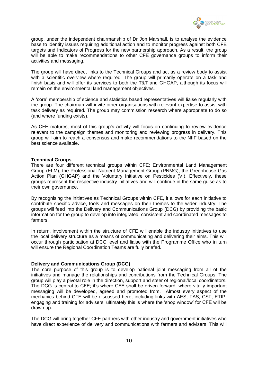

group, under the independent chairmanship of Dr Jon Marshall, is to analyse the evidence base to identify issues requiring additional action and to monitor progress against both CFE targets and Indicators of Progress for the new partnership approach. As a result, the group will be able to make recommendations to other CFE governance groups to inform their activities and messaging.

The group will have direct links to the Technical Groups and act as a review body to assist with a scientific overview where required. The group will primarily operate on a task and finish basis and will offer its services to both the T&T and GHGAP, although its focus will remain on the environmental land management objectives.

A 'core' membership of science and statistics based representatives will liaise regularly with the group. The chairman will invite other organisations with relevant expertise to assist with task delivery as required. The group may commission research where appropriate to do so (and where funding exists).

As CFE matures, most of this group's activity will focus on continuing to review evidence relevant to the campaign themes and monitoring and reviewing progress in delivery. This group will aim to reach a consensus and make recommendations to the NIIF based on the best science available.

#### **Technical Groups**

There are four different technical groups within CFE; Environmental Land Management Group (ELM), the Professional Nutrient Management Group (PNMG), the Greenhouse Gas Action Plan (GHGAP) and the Voluntary Initiative on Pesticides (VI). Effectively, these groups represent the respective industry initiatives and will continue in the same guise as to their own governance.

By recognising the initiatives as Technical Groups within CFE, it allows for each initiative to contribute specific advice, tools and messages on their themes to the wider industry. The groups will feed into the Delivery and Communications Group (DCG) by providing the basic information for the group to develop into integrated, consistent and coordinated messages to farmers.

In return, involvement within the structure of CFE will enable the industry initiatives to use the local delivery structure as a means of communicating and delivering their aims. This will occur through participation at DCG level and liaise with the Programme Office who in turn will ensure the Regional Coordination Teams are fully briefed.

#### **Delivery and Communications Group (DCG)**

The core purpose of this group is to develop national joint messaging from all of the initiatives and manage the relationships and contributions from the Technical Groups. The group will play a pivotal role in the direction, support and steer of regional/local coordinators. The DCG is central to CFE; it's where CFE shall be driven forward, where vitally important messaging will be developed, agreed and promoted from. Almost every aspect of the mechanics behind CFE will be discussed here, including links with AES, FAS, CSF, ETIP, engaging and training for advisers; ultimately this is where the 'shop window' for CFE will be drawn up.

The DCG will bring together CFE partners with other industry and government initiatives who have direct experience of delivery and communications with farmers and advisers. This will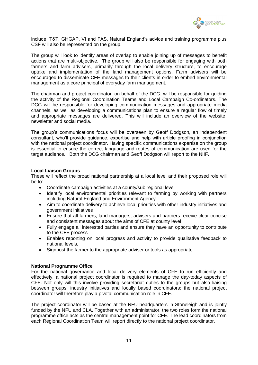

include; T&T, GHGAP, VI and FAS. Natural England's advice and training programme plus CSF will also be represented on the group.

The group will look to identify areas of overlap to enable joining up of messages to benefit actions that are multi-objective. The group will also be responsible for engaging with both farmers and farm advisers, primarily through the local delivery structure, to encourage uptake and implementation of the land management options. Farm advisers will be encouraged to disseminate CFE messages to their clients in order to embed environmental management as a core principal of everyday farm management.

The chairman and project coordinator, on behalf of the DCG, will be responsible for guiding the activity of the Regional Coordination Teams and Local Campaign Co-ordinators. The DCG will be responsible for developing communication messages and appropriate media channels, as well as developing a communications plan to ensure a regular flow of timely and appropriate messages are delivered. This will include an overview of the website, newsletter and social media.

The group's communications focus will be overseen by Geoff Dodgson, an independent consultant, who'll provide guidance, expertise and help with article proofing in conjunction with the national project coordinator. Having specific communications expertise on the group is essential to ensure the correct language and routes of communication are used for the target audience. Both the DCG chairman and Geoff Dodgson will report to the NIIF.

#### **Local Liaison Groups**

These will reflect the broad national partnership at a local level and their proposed role will be to:

- Coordinate campaign activities at a county/sub regional level
- Identify local environmental priorities relevant to farming by working with partners including Natural England and Environment Agency
- Aim to coordinate delivery to achieve local priorities with other industry initiatives and government initiatives
- Ensure that all farmers, land managers, advisers and partners receive clear concise and consistent messages about the aims of CFE at county level
- Fully engage all interested parties and ensure they have an opportunity to contribute to the CFE process
- Enables reporting on local progress and activity to provide qualitative feedback to national levels.
- Signpost the farmer to the appropriate adviser or tools as appropriate

#### **National Programme Office**

For the national governance and local delivery elements of CFE to run efficiently and effectively, a national project coordinator is required to manage the day-today aspects of CFE. Not only will this involve providing secretariat duties to the groups but also liaising between groups, industry initiatives and locally based coordinators: the national project coordinator will therefore play a pivotal communication role in CFE.

The project coordinator will be based at the NFU headquarters in Stoneleigh and is jointly funded by the NFU and CLA. Together with an administrator, the two roles form the national programme office acts as the central management point for CFE. The lead coordinators from each Regional Coordination Team will report directly to the national project coordinator.